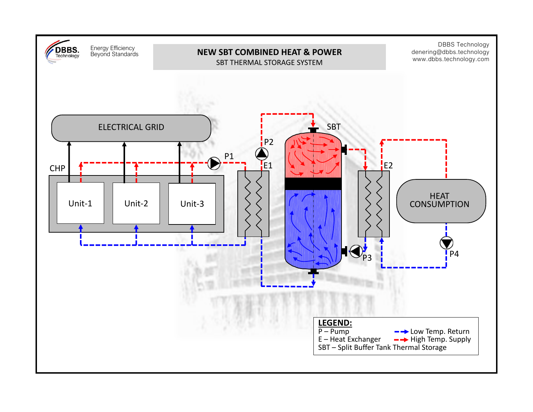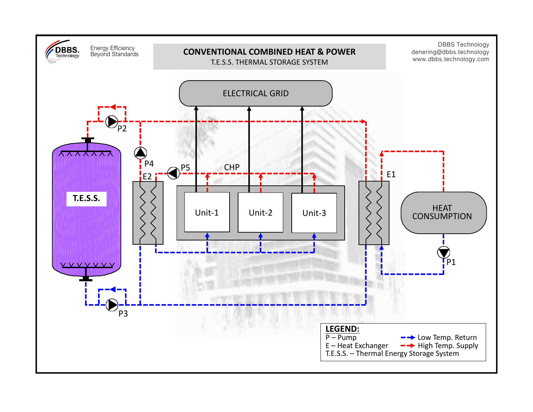